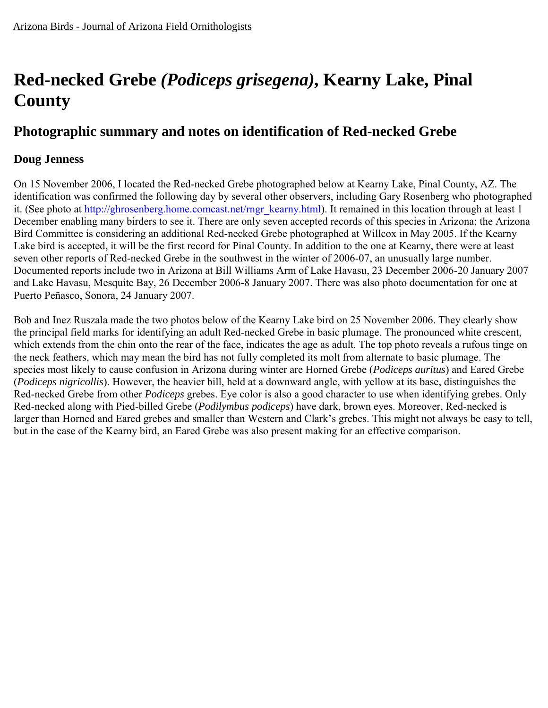# **Red-necked Grebe** *(Podiceps grisegena)***, Kearny Lake, Pinal County**

## **Photographic summary and notes on identification of Red-necked Grebe**

#### **Doug Jenness**

On 15 November 2006, I located the Red-necked Grebe photographed below at Kearny Lake, Pinal County, AZ. The identification was confirmed the following day by several other observers, including Gary Rosenberg who photographed it. (See photo at [http://ghrosenberg.home.comcast.net/rngr\\_kearny.html\)](http://ghrosenberg.home.comcast.net/rngr_kearny.html). It remained in this location through at least 1 December enabling many birders to see it. There are only seven accepted records of this species in Arizona; the Arizona Bird Committee is considering an additional Red-necked Grebe photographed at Willcox in May 2005. If the Kearny Lake bird is accepted, it will be the first record for Pinal County. In addition to the one at Kearny, there were at least seven other reports of Red-necked Grebe in the southwest in the winter of 2006-07, an unusually large number. Documented reports include two in Arizona at Bill Williams Arm of Lake Havasu, 23 December 2006-20 January 2007 and Lake Havasu, Mesquite Bay, 26 December 2006-8 January 2007. There was also photo documentation for one at Puerto Peñasco, Sonora, 24 January 2007.

Bob and Inez Ruszala made the two photos below of the Kearny Lake bird on 25 November 2006. They clearly show the principal field marks for identifying an adult Red-necked Grebe in basic plumage. The pronounced white crescent, which extends from the chin onto the rear of the face, indicates the age as adult. The top photo reveals a rufous tinge on the neck feathers, which may mean the bird has not fully completed its molt from alternate to basic plumage. The species most likely to cause confusion in Arizona during winter are Horned Grebe (*Podiceps auritus*) and Eared Grebe (*Podiceps nigricollis*). However, the heavier bill, held at a downward angle, with yellow at its base, distinguishes the Red-necked Grebe from other *Podiceps* grebes. Eye color is also a good character to use when identifying grebes. Only Red-necked along with Pied-billed Grebe (*Podilymbus podiceps*) have dark, brown eyes. Moreover, Red-necked is larger than Horned and Eared grebes and smaller than Western and Clark's grebes. This might not always be easy to tell, but in the case of the Kearny bird, an Eared Grebe was also present making for an effective comparison.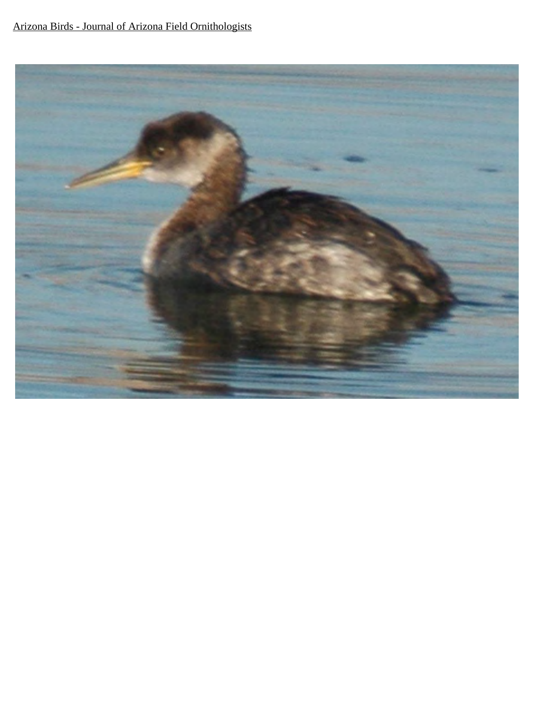## Arizona Birds - Journal of Arizona Field Ornithologists

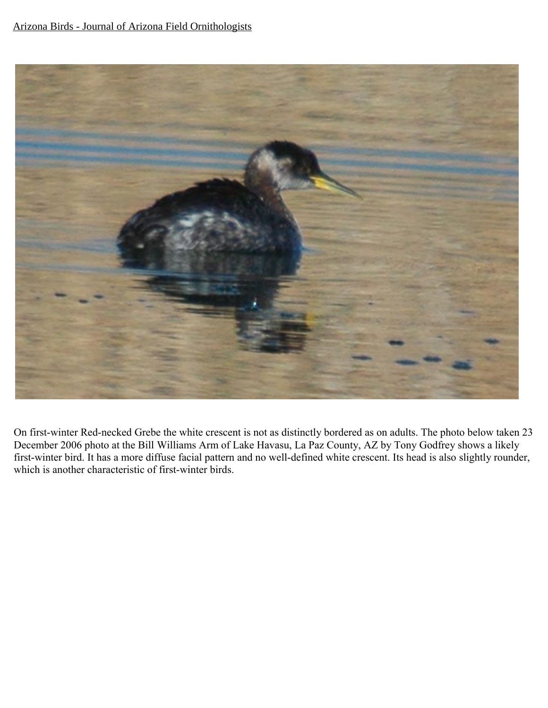#### Arizona Birds - Journal of Arizona Field Ornithologists



On first-winter Red-necked Grebe the white crescent is not as distinctly bordered as on adults. The photo below taken 23 December 2006 photo at the Bill Williams Arm of Lake Havasu, La Paz County, AZ by Tony Godfrey shows a likely first-winter bird. It has a more diffuse facial pattern and no well-defined white crescent. Its head is also slightly rounder, which is another characteristic of first-winter birds.